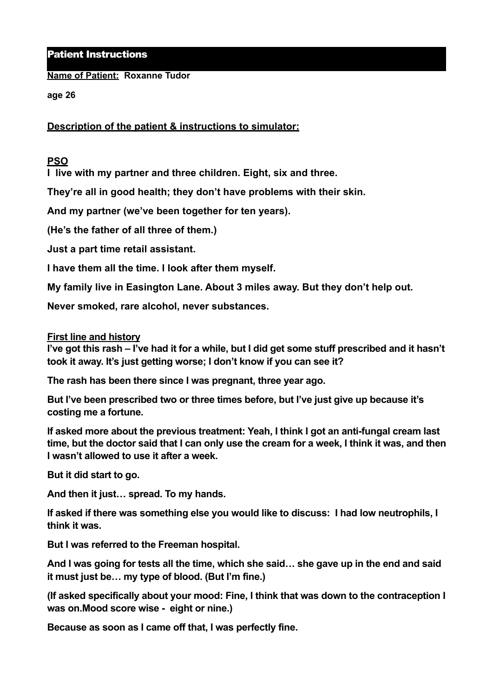Patient Instructions

**Name of Patient: Roxanne Tudor**

**age 26** 

**Description of the patient & instructions to simulator:** 

## **PSO**

**I live with my partner and three children. Eight, six and three.** 

**They're all in good health; they don't have problems with their skin.** 

**And my partner (we've been together for ten years).** 

**(He's the father of all three of them.)** 

**Just a part time retail assistant.** 

**I have them all the time. I look after them myself.** 

**My family live in Easington Lane. About 3 miles away. But they don't help out.** 

**Never smoked, rare alcohol, never substances.** 

## **First line and history**

**I've got this rash – I've had it for a while, but I did get some stuff prescribed and it hasn't took it away. It's just getting worse; I don't know if you can see it?** 

**The rash has been there since I was pregnant, three year ago.** 

**But I've been prescribed two or three times before, but I've just give up because it's costing me a fortune.** 

**If asked more about the previous treatment: Yeah, I think I got an anti-fungal cream last time, but the doctor said that I can only use the cream for a week, I think it was, and then I wasn't allowed to use it after a week.** 

**But it did start to go.** 

**And then it just… spread. To my hands.** 

**If asked if there was something else you would like to discuss: I had low neutrophils, I think it was.** 

**But I was referred to the Freeman hospital.** 

**And I was going for tests all the time, which she said… she gave up in the end and said it must just be… my type of blood. (But I'm fine.)** 

**(If asked specifically about your mood: Fine, I think that was down to the contraception I was on.Mood score wise - eight or nine.)** 

**Because as soon as I came off that, I was perfectly fine.**